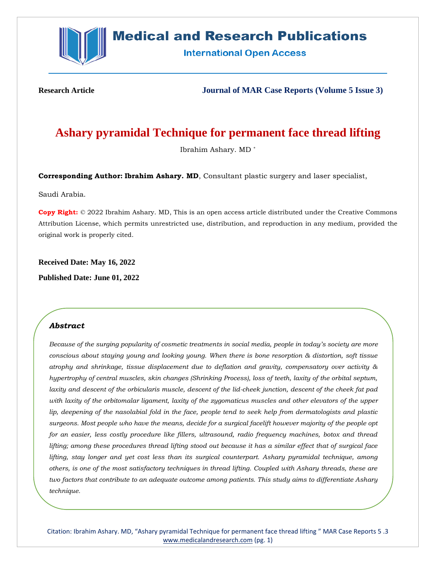

# **Medical and Research Publications**

**International Open Access** 

**Research Article Journal of MAR Case Reports (Volume 5 Issue 3)**

## **Ashary pyramidal Technique for permanent face thread lifting**

Ibrahim Ashary. MD \*

**Corresponding Author: Ibrahim Ashary. MD**, Consultant plastic surgery and laser specialist,

Saudi Arabia.

**Copy Right:** © 2022 Ibrahim Ashary. MD, This is an open access article distributed under the Creative Commons Attribution License, which permits unrestricted use, distribution, and reproduction in any medium, provided the original work is properly cited.

**Received Date: May 16, 2022**

**Published Date: June 01, 2022**

#### *Abstract*

*Because of the surging popularity of cosmetic treatments in social media, people in today's society are more conscious about staying young and looking young. When there is bone resorption & distortion, soft tissue atrophy and shrinkage, tissue displacement due to deflation and gravity, compensatory over activity & hypertrophy of central muscles, skin changes (Shrinking Process), loss of teeth, laxity of the orbital septum, laxity and descent of the orbicularis muscle, descent of the lid-cheek junction, descent of the cheek fat pad with laxity of the orbitomalar ligament, laxity of the zygomaticus muscles and other elevators of the upper lip, deepening of the nasolabial fold in the face, people tend to seek help from dermatologists and plastic surgeons. Most people who have the means, decide for a surgical facelift however majority of the people opt for an easier, less costly procedure like fillers, ultrasound, radio frequency machines, botox and thread lifting; among these procedures thread lifting stood out because it has a similar effect that of surgical face lifting, stay longer and yet cost less than its surgical counterpart. Ashary pyramidal technique, among others, is one of the most satisfactory techniques in thread lifting. Coupled with Ashary threads, these are two factors that contribute to an adequate outcome among patients. This study aims to differentiate Ashary technique.*

Citation: Ibrahim Ashary. MD, "Ashary pyramidal Technique for permanent face thread lifting " MAR Case Reports 5 .3 [www.medicalandresearch.com](http://www.medicalandresearch.com/) (pg. 1)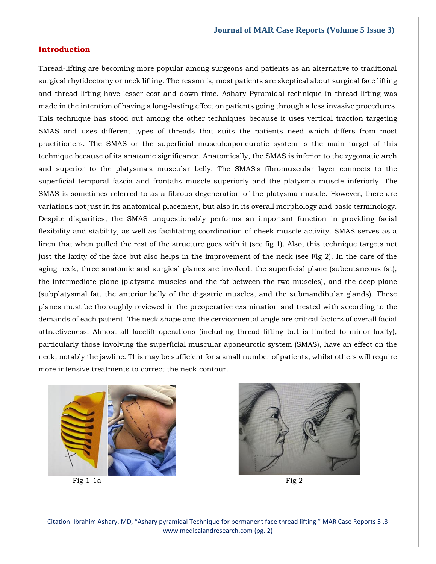#### **Introduction**

Thread-lifting are becoming more popular among surgeons and patients as an alternative to traditional surgical rhytidectomy or neck lifting. The reason is, most patients are skeptical about surgical face lifting and thread lifting have lesser cost and down time. Ashary Pyramidal technique in thread lifting was made in the intention of having a long-lasting effect on patients going through a less invasive procedures. This technique has stood out among the other techniques because it uses vertical traction targeting SMAS and uses different types of threads that suits the patients need which differs from most practitioners. The SMAS or the superficial musculoaponeurotic system is the main target of this technique because of its anatomic significance. Anatomically, the SMAS is inferior to the zygomatic arch and superior to the platysma's muscular belly. The SMAS's fibromuscular layer connects to the superficial temporal fascia and frontalis muscle superiorly and the platysma muscle inferiorly. The SMAS is sometimes referred to as a fibrous degeneration of the platysma muscle. However, there are variations not just in its anatomical placement, but also in its overall morphology and basic terminology. Despite disparities, the SMAS unquestionably performs an important function in providing facial flexibility and stability, as well as facilitating coordination of cheek muscle activity. SMAS serves as a linen that when pulled the rest of the structure goes with it (see fig 1). Also, this technique targets not just the laxity of the face but also helps in the improvement of the neck (see Fig 2). In the care of the aging neck, three anatomic and surgical planes are involved: the superficial plane (subcutaneous fat), the intermediate plane (platysma muscles and the fat between the two muscles), and the deep plane (subplatysmal fat, the anterior belly of the digastric muscles, and the submandibular glands). These planes must be thoroughly reviewed in the preoperative examination and treated with according to the demands of each patient. The neck shape and the cervicomental angle are critical factors of overall facial attractiveness. Almost all facelift operations (including thread lifting but is limited to minor laxity), particularly those involving the superficial muscular aponeurotic system (SMAS), have an effect on the neck, notably the jawline. This may be sufficient for a small number of patients, whilst others will require more intensive treatments to correct the neck contour.



Fig  $1$ -1a Fig  $2$ 



Citation: Ibrahim Ashary. MD, "Ashary pyramidal Technique for permanent face thread lifting " MAR Case Reports 5 .3 [www.medicalandresearch.com](http://www.medicalandresearch.com/) (pg. 2)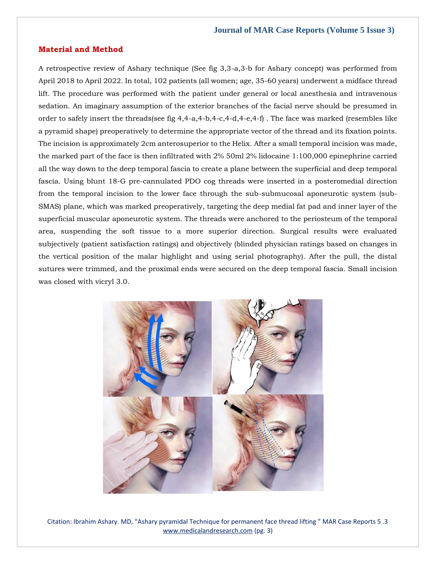#### **Journal of MAR Case Reports (Volume 5 Issue 3)**

#### **Material and Method**

A retrospective review of Ashary technique (See fig 3,3-a,3-b for Ashary concept) was performed from April 2018 to April 2022. In total, 102 patients (all women; age, 35-60 years) underwent a midface thread lift. The procedure was performed with the patient under general or local anesthesia and intravenous sedation. An imaginary assumption of the exterior branches of the facial nerve should be presumed in order to safely insert the threads(see fig 4,4-a,4-b,4-c,4-d,4-e,4-f) . The face was marked (resembles like a pyramid shape) preoperatively to determine the appropriate vector of the thread and its fixation points. The incision is approximately 2cm anterosuperior to the Helix. After a small temporal incision was made, the marked part of the face is then infiltrated with 2% 50ml 2% lidocaine 1:100,000 epinephrine carried all the way down to the deep temporal fascia to create a plane between the superficial and deep temporal fascia. Using blunt 18-G pre-cannulated PDO cog threads were inserted in a posteromedial direction from the temporal incision to the lower face through the sub-submucosal aponeurotic system (sub-SMAS) plane, which was marked preoperatively, targeting the deep medial fat pad and inner layer of the superficial muscular aponeurotic system. The threads were anchored to the periosteum of the temporal area, suspending the soft tissue to a more superior direction. Surgical results were evaluated subjectively (patient satisfaction ratings) and objectively (blinded physician ratings based on changes in the vertical position of the malar highlight and using serial photography). After the pull, the distal sutures were trimmed, and the proximal ends were secured on the deep temporal fascia. Small incision was closed with vicryl 3.0.



Citation: Ibrahim Ashary. MD, "Ashary pyramidal Technique for permanent face thread lifting " MAR Case Reports 5 .3 [www.medicalandresearch.com](http://www.medicalandresearch.com/) (pg. 3)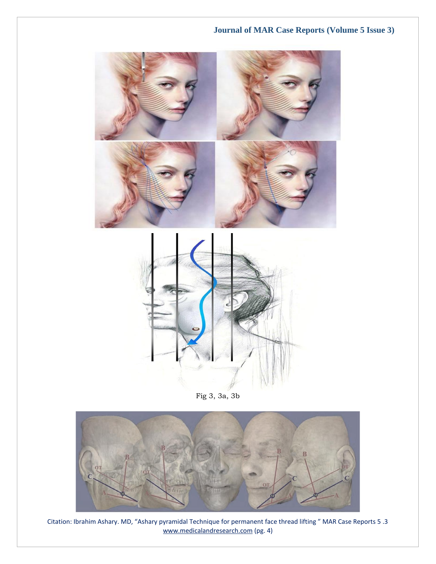### **Journal of MAR Case Reports (Volume 5 Issue 3)**





Fig 3, 3a, 3b



Citation: Ibrahim Ashary. MD, "Ashary pyramidal Technique for permanent face thread lifting " MAR Case Reports 5 .3 [www.medicalandresearch.com](http://www.medicalandresearch.com/) (pg. 4)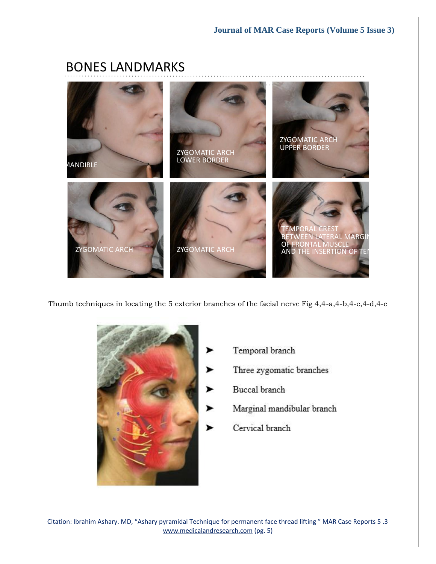

Thumb techniques in locating the 5 exterior branches of the facial nerve Fig 4,4-a,4-b,4-c,4-d,4-e



- Temporal branch
- Three zygomatic branches
- Buccal branch
- Marginal mandibular branch
- Cervical branch

Citation: Ibrahim Ashary. MD, "Ashary pyramidal Technique for permanent face thread lifting " MAR Case Reports 5 .3 [www.medicalandresearch.com](http://www.medicalandresearch.com/) (pg. 5)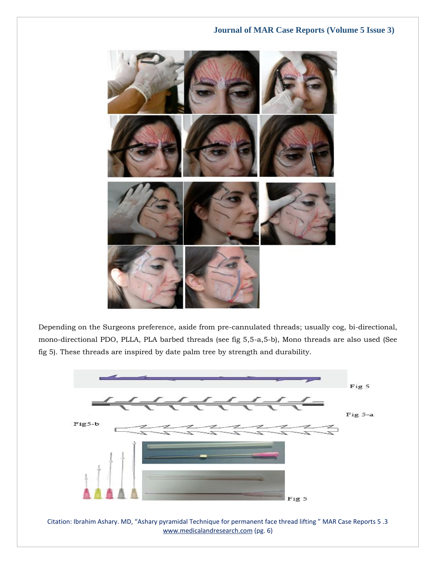

Depending on the Surgeons preference, aside from pre-cannulated threads; usually cog, bi-directional, mono-directional PDO, PLLA, PLA barbed threads (see fig 5,5-a,5-b), Mono threads are also used (See fig 5). These threads are inspired by date palm tree by strength and durability.



Citation: Ibrahim Ashary. MD, "Ashary pyramidal Technique for permanent face thread lifting " MAR Case Reports 5 .3 [www.medicalandresearch.com](http://www.medicalandresearch.com/) (pg. 6)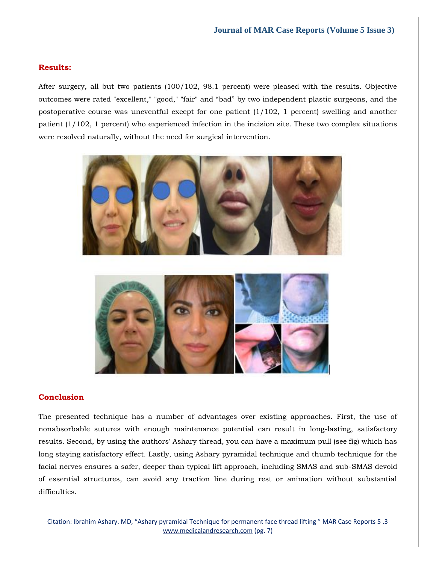#### **Results:**

After surgery, all but two patients (100/102, 98.1 percent) were pleased with the results. Objective outcomes were rated "excellent," "good," "fair" and "bad" by two independent plastic surgeons, and the postoperative course was uneventful except for one patient (1/102, 1 percent) swelling and another patient (1/102, 1 percent) who experienced infection in the incision site. These two complex situations were resolved naturally, without the need for surgical intervention.





#### **Conclusion**

The presented technique has a number of advantages over existing approaches. First, the use of nonabsorbable sutures with enough maintenance potential can result in long-lasting, satisfactory results. Second, by using the authors' Ashary thread, you can have a maximum pull (see fig) which has long staying satisfactory effect. Lastly, using Ashary pyramidal technique and thumb technique for the facial nerves ensures a safer, deeper than typical lift approach, including SMAS and sub-SMAS devoid of essential structures, can avoid any traction line during rest or animation without substantial difficulties.

Citation: Ibrahim Ashary. MD, "Ashary pyramidal Technique for permanent face thread lifting " MAR Case Reports 5 .3 [www.medicalandresearch.com](http://www.medicalandresearch.com/) (pg. 7)